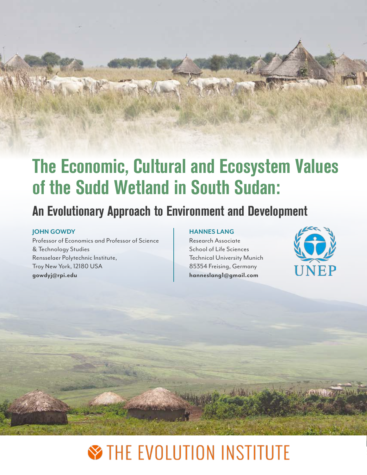# The Economic, Cultural and Ecosystem Values of the Sudd Wetland in South Sudan:

## An Evolutionary Approach to Environment and Development

#### **JOHN GOWDY**

Professor of Economics and Professor of Science & Technology Studies Rensselaer Polytechnic Institute, Troy New York, 12180 USA **gowdyj@rpi.edu**

#### **HANNES LANG**

Research Associate School of Life Sciences Technical University Munich 85354 Freising, Germany **hanneslang1@gmail.com**



**COMPANY** 

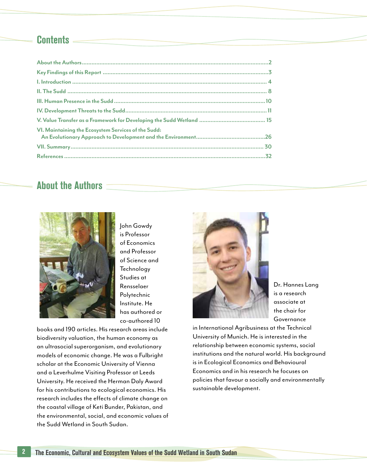### **Contents**

| VI. Maintaining the Ecosystem Services of the Sudd: |  |
|-----------------------------------------------------|--|
|                                                     |  |
|                                                     |  |
|                                                     |  |

### About the Authors



John Gowdy is Professor of Economics and Professor of Science and **Technology** Studies at Rensselaer Polytechnic Institute. He has authored or co-authored 10

books and 190 articles. His research areas include biodiversity valuation, the human economy as an ultrasocial superorganism, and evolutionary models of economic change. He was a Fulbright scholar at the Economic University of Vienna and a Leverhulme Visiting Professor at Leeds University. He received the Herman Daly Award for his contributions to ecological economics. His research includes the effects of climate change on the coastal village of Keti Bunder, Pakistan, and the environmental, social, and economic values of the Sudd Wetland in South Sudan.



Dr. Hannes Lang is a research associate at the chair for **Governance** 

in International Agribusiness at the Technical University of Munich. He is interested in the relationship between economic systems, social institutions and the natural world. His background is in Ecological Economics and Behavioural Economics and in his research he focuses on policies that favour a socially and environmentally sustainable development.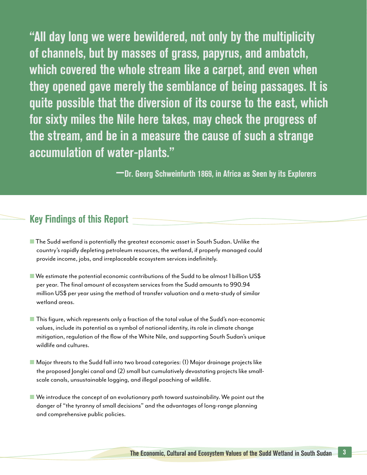"All day long we were bewildered, not only by the multiplicity of channels, but by masses of grass, papyrus, and ambatch, which covered the whole stream like a carpet, and even when they opened gave merely the semblance of being passages. It is quite possible that the diversion of its course to the east, which for sixty miles the Nile here takes, may check the progress of the stream, and be in a measure the cause of such a strange accumulation of water-plants."

—Dr. Georg Schweinfurth 1869, in Africa as Seen by its Explorers

### Key Findings of this Report

- The Sudd wetland is potentially the greatest economic asset in South Sudan. Unlike the country's rapidly depleting petroleum resources, the wetland, if properly managed could provide income, jobs, and irreplaceable ecosystem services indefinitely.
- $\blacksquare$  We estimate the potential economic contributions of the Sudd to be almost 1 billion US\$ per year. The final amount of ecosystem services from the Sudd amounts to 990.94 million US\$ per year using the method of transfer valuation and a meta-study of similar wetland areas.
- This figure, which represents only a fraction of the total value of the Sudd's non-economic values, include its potential as a symbol of national identity, its role in climate change mitigation, regulation of the flow of the White Nile, and supporting South Sudan's unique wildlife and cultures.
- Major threats to the Sudd fall into two broad categories: (1) Major drainage projects like the proposed Jonglei canal and (2) small but cumulatively devastating projects like smallscale canals, unsustainable logging, and illegal poaching of wildlife.
- We introduce the concept of an evolutionary path toward sustainability. We point out the danger of "the tyranny of small decisions" and the advantages of long-range planning and comprehensive public policies.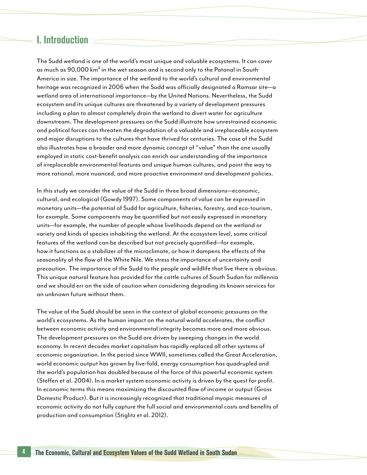### I. Introduction

The Sudd wetland is one of the world's most unique and valuable ecosystems. It can cover as much as 90,000 km<sup>2</sup> in the wet season and is second only to the Patanal in South America in size. The importance of the wetland to the world's cultural and environmental heritage was recognized in 2006 when the Sudd was officially designated a Ramsar site—a wetland area of international importance—by the United Nations. Nevertheless, the Sudd ecosystem and its unique cultures are threatened by a variety of development pressures including a plan to almost completely drain the wetland to divert water for agriculture downstream. The development pressures on the Sudd illustrate how unrestrained economic and political forces can threaten the degradation of a valuable and irreplaceable ecosystem and major disruptions to the cultures that have thrived for centuries. The case of the Sudd also illustrates how a broader and more dynamic concept of "value" than the one usually employed in static cost-benefit analysis can enrich our understanding of the importance of irreplaceable environmental features and unique human cultures, and point the way to more rational, more nuanced, and more proactive environment and development policies.

In this study we consider the value of the Sudd in three broad dimensions—economic, cultural, and ecological (Gowdy 1997). Some components of value can be expressed in monetary units—the potential of Sudd for agriculture, fisheries, forestry, and eco-tourism, for example. Some components may be quantified but not easily expressed in monetary units—for example, the number of people whose livelihoods depend on the wetland or variety and kinds of species inhabiting the wetland. At the ecosystem level, some critical features of the wetland can be described but not precisely quantified—for example, how it functions as a stabilizer of the microclimate, or how it dampens the effects of the seasonality of the flow of the White Nile. We stress the importance of uncertainty and precaution. The importance of the Sudd to the people and wildlife that live there is obvious. This unique natural feature has provided for the cattle cultures of South Sudan for millennia and we should err on the side of caution when considering degrading its known services for an unknown future without them.

The value of the Sudd should be seen in the context of global economic pressures on the world's ecosystems. As the human impact on the natural world accelerates, the conflict between economic activity and environmental integrity becomes more and more obvious. The development pressures on the Sudd are driven by sweeping changes in the world economy. In recent decades market capitalism has rapidly replaced all other systems of economic organization. In the period since WWII, sometimes called the Great Acceleration, world economic output has grown by five-fold, energy consumption has quadrupled and the world's population has doubled because of the force of this powerful economic system (Steffen et al. 2004). In a market system economic activity is driven by the quest for profit. In economic terms this means maximizing the discounted flow of income or output (Gross Domestic Product). But it is increasingly recognized that traditional myopic measures of economic activity do not fully capture the full social and environmental costs and benefits of production and consumption (Stiglitz et al. 2012).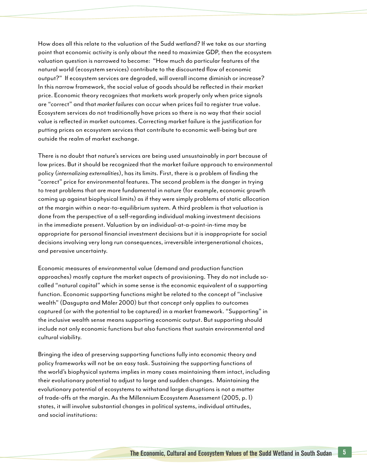How does all this relate to the valuation of the Sudd wetland? If we take as our starting point that economic activity is only about the need to maximize GDP, then the ecosystem valuation question is narrowed to become: "How much do particular features of the natural world (ecosystem services) contribute to the discounted flow of economic output?" If ecosystem services are degraded, will overall income diminish or increase? In this narrow framework, the social value of goods should be reflected in their market price. Economic theory recognizes that markets work properly only when price signals are "correct" and that *market failures* can occur when prices fail to register true value. Ecosystem services do not traditionally have prices so there is no way that their social value is reflected in market outcomes. Correcting market failure is the justification for putting prices on ecosystem services that contribute to economic well-being but are outside the realm of market exchange.

There is no doubt that nature's services are being used unsustainably in part because of low prices. But it should be recognized that the market failure approach to environmental policy (*internalizing externalities*), has its limits. First, there is a problem of finding the "correct" price for environmental features. The second problem is the danger in trying to treat problems that are more fundamental in nature (for example, economic growth coming up against biophysical limits) as if they were simply problems of static allocation at the margin within a near-to-equilibrium system. A third problem is that valuation is done from the perspective of a self-regarding individual making investment decisions in the immediate present. Valuation by an individual-at-a-point-in-time may be appropriate for personal financial investment decisions but it is inappropriate for social decisions involving very long run consequences, irreversible intergenerational choices, and pervasive uncertainty.

Economic measures of environmental value (demand and production function approaches) mostly capture the market aspects of provisioning. They do not include socalled "natural capital" which in some sense is the economic equivalent of a supporting function. Economic supporting functions might be related to the concept of "inclusive wealth" (Dasgupta and Mäler 2000) but that concept only applies to outcomes captured (or with the potential to be captured) in a market framework. "Supporting" in the inclusive wealth sense means supporting economic output. But supporting should include not only economic functions but also functions that sustain environmental and cultural viability.

Bringing the idea of preserving supporting functions fully into economic theory and policy frameworks will not be an easy task. Sustaining the supporting functions of the world's biophysical systems implies in many cases maintaining them intact, including their evolutionary potential to adjust to large and sudden changes. Maintaining the evolutionary potential of ecosystems to withstand large disruptions is not a matter of trade-offs at the margin. As the Millennium Ecosystem Assessment (2005, p. 1) states, it will involve substantial changes in political systems, individual attitudes, and social institutions: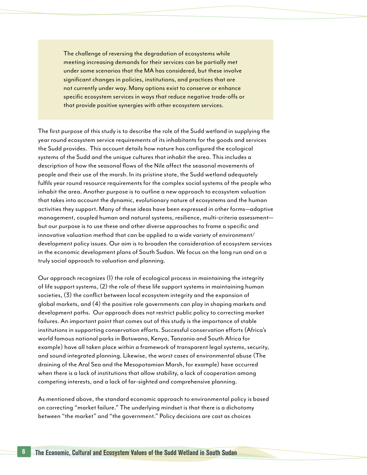The challenge of reversing the degradation of ecosystems while meeting increasing demands for their services can be partially met under some scenarios that the MA has considered, but these involve significant changes in policies, institutions, and practices that are not currently under way. Many options exist to conserve or enhance specific ecosystem services in ways that reduce negative trade-offs or that provide positive synergies with other ecosystem services.

The first purpose of this study is to describe the role of the Sudd wetland in supplying the year round ecosystem service requirements of its inhabitants for the goods and services the Sudd provides. This account details how nature has configured the ecological systems of the Sudd and the unique cultures that inhabit the area. This includes a description of how the seasonal flows of the Nile affect the seasonal movements of people and their use of the marsh. In its pristine state, the Sudd wetland adequately fulfils year round resource requirements for the complex social systems of the people who inhabit the area. Another purpose is to outline a new approach to ecosystem valuation that takes into account the dynamic, evolutionary nature of ecosystems and the human activities they support. Many of these ideas have been expressed in other forms—adaptive management, coupled human and natural systems, resilience, multi-criteria assessment but our purpose is to use these and other diverse approaches to frame a specific and innovative valuation method that can be applied to a wide variety of environment/ development policy issues. Our aim is to broaden the consideration of ecosystem services in the economic development plans of South Sudan. We focus on the long run and on a truly social approach to valuation and planning.

Our approach recognizes (1) the role of ecological process in maintaining the integrity of life support systems, (2) the role of these life support systems in maintaining human societies, (3) the conflict between local ecosystem integrity and the expansion of global markets, and (4) the positive role governments can play in shaping markets and development paths. Our approach does not restrict public policy to correcting market failures. An important point that comes out of this study is the importance of stable institutions in supporting conservation efforts. Successful conservation efforts (Africa's world famous national parks in Botswana, Kenya, Tanzania and South Africa for example) have all taken place within a framework of transparent legal systems, security, and sound integrated planning. Likewise, the worst cases of environmental abuse (The draining of the Aral Sea and the Mesopotamian Marsh, for example) have occurred when there is a lack of institutions that allow stability, a lack of cooperation among competing interests, and a lack of far-sighted and comprehensive planning.

As mentioned above, the standard economic approach to environmental policy is based on correcting "market failure." The underlying mindset is that there is a dichotomy between "the market" and "the government." Policy decisions are cast as choices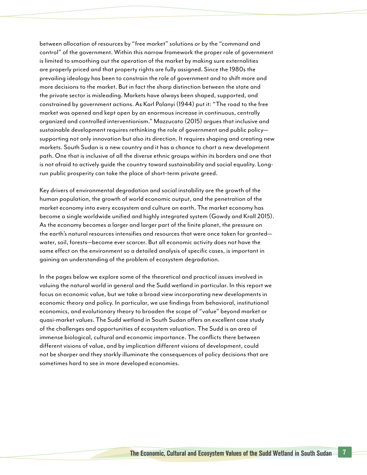between allocation of resources by "free market" solutions or by the "command and control" of the government. Within this narrow framework the proper role of government is limited to smoothing out the operation of the market by making sure externalities are properly priced and that property rights are fully assigned. Since the 1980s the prevailing ideology has been to constrain the role of government and to shift more and more decisions to the market. But in fact the sharp distinction between the state and the private sector is misleading. Markets have always been shaped, supported, and constrained by government actions. As Karl Polanyi (1944) put it: "The road to the free market was opened and kept open by an enormous increase in continuous, centrally organized and controlled interventionism." Mazzucato (2015) argues that inclusive and sustainable development requires rethinking the role of government and public policy supporting not only innovation but also its direction. It requires shaping and creating new markets. South Sudan is a new country and it has a chance to chart a new development path. One that is inclusive of all the diverse ethnic groups within its borders and one that is not afraid to actively guide the country toward sustainability and social equality. Longrun public prosperity can take the place of short-term private greed.

Key drivers of environmental degradation and social instability are the growth of the human population, the growth of world economic output, and the penetration of the market economy into every ecosystem and culture on earth. The market economy has become a single worldwide unified and highly integrated system (Gowdy and Krall 2015). As the economy becomes a larger and larger part of the finite planet, the pressure on the earth's natural resources intensifies and resources that were once taken for granted water, soil, forests—become ever scarcer. But all economic activity does not have the same effect on the environment so a detailed analysis of specific cases, is important in gaining an understanding of the problem of ecosystem degradation.

In the pages below we explore some of the theoretical and practical issues involved in valuing the natural world in general and the Sudd wetland in particular. In this report we focus on economic value, but we take a broad view incorporating new developments in economic theory and policy. In particular, we use findings from behavioral, institutional economics, and evolutionary theory to broaden the scope of "value" beyond market or quasi-market values. The Sudd wetland in South Sudan offers an excellent case study of the challenges and opportunities of ecosystem valuation. The Sudd is an area of immense biological, cultural and economic importance. The conflicts there between different visions of value, and by implication different visions of development, could not be sharper and they starkly illuminate the consequences of policy decisions that are sometimes hard to see in more developed economies.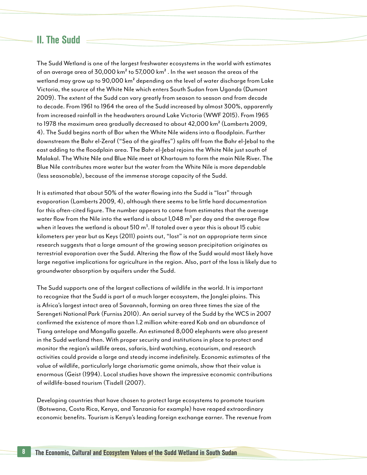### II. The Sudd

The Sudd Wetland is one of the largest freshwater ecosystems in the world with estimates of an average area of 30,000 km² to 57,000 km² . In the wet season the areas of the wetland may grow up to 90,000 km² depending on the level of water discharge from Lake Victoria, the source of the White Nile which enters South Sudan from Uganda (Dumont 2009). The extent of the Sudd can vary greatly from season to season and from decade to decade. From 1961 to 1964 the area of the Sudd increased by almost 300%, apparently from increased rainfall in the headwaters around Lake Victoria (WWF 2015). From 1965 to 1978 the maximum area gradually decreased to about 42,000 km² (Lamberts 2009, 4). The Sudd begins north of Bor when the White Nile widens into a floodplain. Further downstream the Bahr el-Zeraf ("Sea of the giraffes") splits off from the Bahr el-Jebal to the east adding to the floodplain area. The Bahr el-Jebal rejoins the White Nile just south of Malakal. The White Nile and Blue Nile meet at Khartoum to form the main Nile River. The Blue Nile contributes more water but the water from the White Nile is more dependable (less seasonable), because of the immense storage capacity of the Sudd.

It is estimated that about 50% of the water flowing into the Sudd is "lost" through evaporation (Lamberts 2009, 4), although there seems to be little hard documentation for this often-cited figure. The number appears to come from estimates that the average water flow from the Nile into the wetland is about 1,048  $\mathrm{m}^3$  per day and the average flow when it leaves the wetland is about 510  $\text{m}^{3}$ . If totaled over a year this is about 15 cubic kilometers per year but as Keys (2011) points out, "lost" is not an appropriate term since research suggests that a large amount of the growing season precipitation originates as terrestrial evaporation over the Sudd. Altering the flow of the Sudd would most likely have large negative implications for agriculture in the region. Also, part of the loss is likely due to groundwater absorption by aquifers under the Sudd.

The Sudd supports one of the largest collections of wildlife in the world. It is important to recognize that the Sudd is part of a much larger ecosystem, the Jonglei plains. This is Africa's largest intact area of Savannah, forming an area three times the size of the Serengeti National Park (Furniss 2010). An aerial survey of the Sudd by the WCS in 2007 confirmed the existence of more than 1.2 million white-eared Kob and an abundance of Tiang antelope and Mongalla gazelle. An estimated 8,000 elephants were also present in the Sudd wetland then. With proper security and institutions in place to protect and monitor the region's wildlife areas, safaris, bird watching, ecotourism, and research activities could provide a large and steady income indefinitely. Economic estimates of the value of wildlife, particularly large charismatic game animals, show that their value is enormous (Geist (1994). Local studies have shown the impressive economic contributions of wildlife-based tourism (Tisdell (2007).

Developing countries that have chosen to protect large ecosystems to promote tourism (Botswana, Costa Rica, Kenya, and Tanzania for example) have reaped extraordinary economic benefits. Tourism is Kenya's leading foreign exchange earner. The revenue from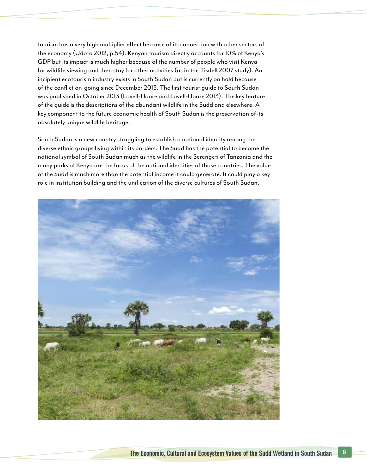tourism has a very high multiplier effect because of its connection with other sectors of the economy (Udoto 2012, p.54). Kenyan tourism directly accounts for 10% of Kenya's GDP but its impact is much higher because of the number of people who visit Kenya for wildlife viewing and then stay for other activities (as in the Tisdell 2007 study). An incipient ecotourism industry exists in South Sudan but is currently on hold because of the conflict on-going since December 2013. The first tourist guide to South Sudan was published in October 2013 (Lovell-Hoare and Lovell-Hoare 2013). The key feature of the guide is the descriptions of the abundant wildlife in the Sudd and elsewhere. A key component to the future economic health of South Sudan is the preservation of its absolutely unique wildlife heritage.

South Sudan is a new country struggling to establish a national identity among the diverse ethnic groups living within its borders. The Sudd has the potential to become the national symbol of South Sudan much as the wildlife in the Serengeti of Tanzania and the many parks of Kenya are the focus of the national identities of those countries. The value of the Sudd is much more than the potential income it could generate. It could play a key role in institution building and the unification of the diverse cultures of South Sudan.

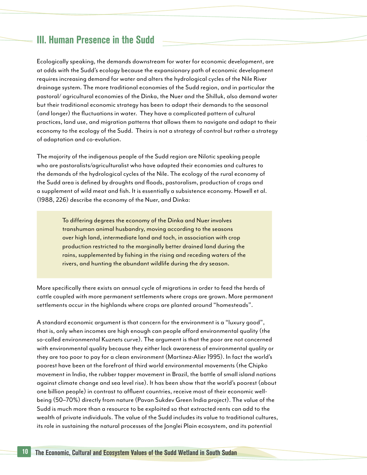### III. Human Presence in the Sudd

Ecologically speaking, the demands downstream for water for economic development, are at odds with the Sudd's ecology because the expansionary path of economic development requires increasing demand for water and alters the hydrological cycles of the Nile River drainage system. The more traditional economies of the Sudd region, and in particular the pastoral/ agricultural economies of the Dinka, the Nuer and the Shilluk, also demand water but their traditional economic strategy has been to adapt their demands to the seasonal (and longer) the fluctuations in water. They have a complicated pattern of cultural practices, land use, and migration patterns that allows them to navigate and adapt to their economy to the ecology of the Sudd. Theirs is not a strategy of control but rather a strategy of adaptation and co-evolution.

The majority of the indigenous people of the Sudd region are Nilotic speaking people who are pastoralists/agriculturalist who have adapted their economies and cultures to the demands of the hydrological cycles of the Nile. The ecology of the rural economy of the Sudd area is defined by droughts and floods, pastoralism, production of crops and a supplement of wild meat and fish. It is essentially a subsistence economy. Howell et al. (1988, 226) describe the economy of the Nuer, and Dinka:

> To differing degrees the economy of the Dinka and Nuer involves transhuman animal husbandry, moving according to the seasons over high land, intermediate land and toch, in association with crop production restricted to the marginally better drained land during the rains, supplemented by fishing in the rising and receding waters of the rivers, and hunting the abundant wildlife during the dry season.

More specifically there exists an annual cycle of migrations in order to feed the herds of cattle coupled with more permanent settlements where crops are grown. More permanent settlements occur in the highlands where crops are planted around "homesteads".

A standard economic argument is that concern for the environment is a "luxury good", that is, only when incomes are high enough can people afford environmental quality (the so-called environmental Kuznets curve). The argument is that the poor are not concerned with environmental quality because they either lack awareness of environmental quality or they are too poor to pay for a clean environment (Martinez-Alier 1995). In fact the world's poorest have been at the forefront of third world environmental movements (the Chipko movement in India, the rubber tapper movement in Brazil, the battle of small island nations against climate change and sea level rise). It has been show that the world's poorest (about one billion people) in contrast to affluent countries, receive most of their economic wellbeing (50–70%) directly from nature (Pavan Sukdev Green India project). The value of the Sudd is much more than a resource to be exploited so that extracted rents can add to the wealth of private individuals. The value of the Sudd includes its value to traditional cultures, its role in sustaining the natural processes of the Jonglei Plain ecosystem, and its potential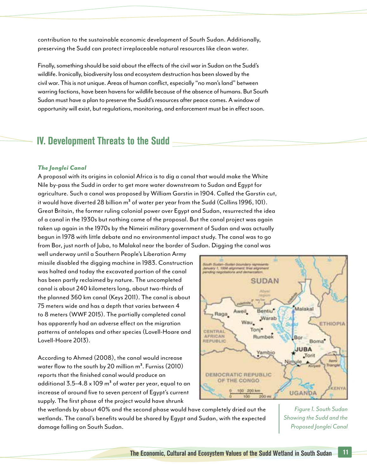contribution to the sustainable economic development of South Sudan. Additionally, preserving the Sudd can protect irreplaceable natural resources like clean water.

Finally, something should be said about the effects of the civil war in Sudan on the Sudd's wildlife. Ironically, biodiversity loss and ecosystem destruction has been slowed by the civil war. This is not unique. Areas of human conflict, especially "no man's land" between warring factions, have been havens for wildlife because of the absence of humans. But South Sudan must have a plan to preserve the Sudd's resources after peace comes. A window of opportunity will exist, but regulations, monitoring, and enforcement must be in effect soon.

### IV. Development Threats to the Sudd

#### *The Jonglei Canal*

A proposal with its origins in colonial Africa is to dig a canal that would make the White Nile by-pass the Sudd in order to get more water downstream to Sudan and Egypt for agriculture. Such a canal was proposed by William Garstin in 1904. Called the Garstin cut, it would have diverted 28 billion  $m<sup>3</sup>$  of water per year from the Sudd (Collins 1996, 101). Great Britain, the former ruling colonial power over Egypt and Sudan, resurrected the idea of a canal in the 1930s but nothing came of the proposal. But the canal project was again taken up again in the 1970s by the Nimeiri military government of Sudan and was actually begun in 1978 with little debate and no environmental impact study. The canal was to go from Bor, just north of Juba, to Malakal near the border of Sudan. Digging the canal was

well underway until a Southern People's Liberation Army missile disabled the digging machine in 1983. Construction was halted and today the excavated portion of the canal has been partly reclaimed by nature. The uncompleted canal is about 240 kilometers long, about two-thirds of the planned 360 km canal (Keys 2011). The canal is about 75 meters wide and has a depth that varies between 4 to 8 meters (WWF 2015). The partially completed canal has apparently had an adverse effect on the migration patterns of antelopes and other species (Lovell-Hoare and Lovell-Hoare 2013).

According to Ahmed (2008), the canal would increase water flow to the south by 20 million  $m<sup>3</sup>$ . Furniss (2010) reports that the finished canal would produce an additional  $3.5-4.8 \times 109$  m<sup>3</sup> of water per year, equal to an increase of around five to seven percent of Egypt's current supply. The first phase of the project would have shrunk



the wetlands by about 40% and the second phase would have completely dried out the wetlands. The canal's benefits would be shared by Egypt and Sudan, with the expected damage falling on South Sudan.

*Figure 1. South Sudan Showing the Sudd and the Proposed Jonglei Canal*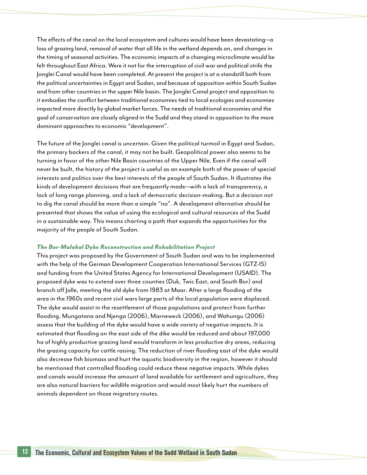The effects of the canal on the local ecosystem and cultures would have been devastating—a loss of grazing land, removal of water that all life in the wetland depends on, and changes in the timing of seasonal activities. The economic impacts of a changing microclimate would be felt throughout East Africa. Were it not for the interruption of civil war and political strife the Jonglei Canal would have been completed. At present the project is at a standstill both from the political uncertainties in Egypt and Sudan, and because of opposition within South Sudan and from other countries in the upper Nile basin. The Jonglei Canal project and opposition to it embodies the conflict between traditional economies tied to local ecologies and economies impacted more directly by global market forces. The needs of traditional economies and the goal of conservation are closely aligned in the Sudd and they stand in opposition to the more dominant approaches to economic "development".

The future of the Jonglei canal is uncertain. Given the political turmoil in Egypt and Sudan, the primary backers of the canal, it may not be built. Geopolitical power also seems to be turning in favor of the other Nile Basin countries of the Upper Nile. Even if the canal will never be built, the history of the project is useful as an example both of the power of special interests and politics over the best interests of the people of South Sudan. It illustrates the kinds of development decisions that are frequently made—with a lack of transparency, a lack of long range planning, and a lack of democratic decision-making. But a decision not to dig the canal should be more than a simple "no". A development alternative should be presented that shows the value of using the ecological and cultural resources of the Sudd in a sustainable way. This means charting a path that expands the opportunities for the majority of the people of South Sudan.

#### *The Bor-Malakal Dyke Reconstruction and Rehabilitation Project*

This project was proposed by the Government of South Sudan and was to be implemented with the help of the German Development Cooperation International Services (GTZ-IS) and funding from the United States Agency for International Development (USAID). The proposed dyke was to extend over three counties (Duk, Twic East, and South Bor) and branch off Jalle, meeting the old dyke from 1983 at Maar. After a large flooding of the area in the 1960s and recent civil wars large parts of the local population were displaced. The dyke would assist in the resettlement of those populations and protect from further flooding. Mungatana and Njenga (2006), Marneweck (2006), and Wahungu (2006) assess that the building of the dyke would have a wide variety of negative impacts. It is estimated that flooding on the east side of the dike would be reduced and about 197,000 ha of highly productive grazing land would transform in less productive dry areas, reducing the grazing capacity for cattle raising. The reduction of river flooding east of the dyke would also decrease fish biomass and hurt the aquatic biodiversity in the region, however it should be mentioned that controlled flooding could reduce these negative impacts. While dykes and canals would increase the amount of land available for settlement and agriculture, they are also natural barriers for wildlife migration and would most likely hurt the numbers of animals dependent on those migratory routes.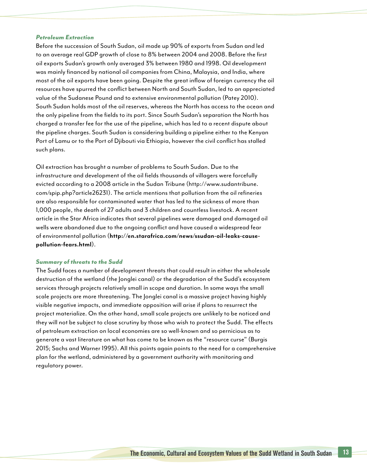#### *Petroleum Extraction*

Before the succession of South Sudan, oil made up 90% of exports from Sudan and led to an average real GDP growth of close to 8% between 2004 and 2008. Before the first oil exports Sudan's growth only averaged 3% between 1980 and 1998. Oil development was mainly financed by national oil companies from China, Malaysia, and India, where most of the oil exports have been going. Despite the great inflow of foreign currency the oil resources have spurred the conflict between North and South Sudan, led to an appreciated value of the Sudanese Pound and to extensive environmental pollution (Patey 2010). South Sudan holds most of the oil reserves, whereas the North has access to the ocean and the only pipeline from the fields to its port. Since South Sudan's separation the North has charged a transfer fee for the use of the pipeline, which has led to a recent dispute about the pipeline charges. South Sudan is considering building a pipeline either to the Kenyan Port of Lamu or to the Port of Djibouti via Ethiopia, however the civil conflict has stalled such plans.

Oil extraction has brought a number of problems to South Sudan. Due to the infrastructure and development of the oil fields thousands of villagers were forcefully evicted according to a 2008 article in the Sudan Tribune (http://www.sudantribune. com/spip.php?article26231). The article mentions that pollution from the oil refineries are also responsible for contaminated water that has led to the sickness of more than 1,000 people, the death of 27 adults and 3 children and countless livestock. A recent article in the Star Africa indicates that several pipelines were damaged and damaged oil wells were abandoned due to the ongoing conflict and have caused a widespread fear of environmental pollution (**http://en.starafrica.com/news/ssudan-oil-leaks-causepollution-fears.html**).

#### *Summary of threats to the Sudd*

The Sudd faces a number of development threats that could result in either the wholesale destruction of the wetland (the Jonglei canal) or the degradation of the Sudd's ecosystem services through projects relatively small in scope and duration. In some ways the small scale projects are more threatening. The Jonglei canal is a massive project having highly visible negative impacts, and immediate opposition will arise if plans to resurrect the project materialize. On the other hand, small scale projects are unlikely to be noticed and they will not be subject to close scrutiny by those who wish to protect the Sudd. The effects of petroleum extraction on local economies are so well-known and so pernicious as to generate a vast literature on what has come to be known as the "resource curse" (Burgis 2015; Sachs and Warner 1995). All this points again points to the need for a comprehensive plan for the wetland, administered by a government authority with monitoring and regulatory power.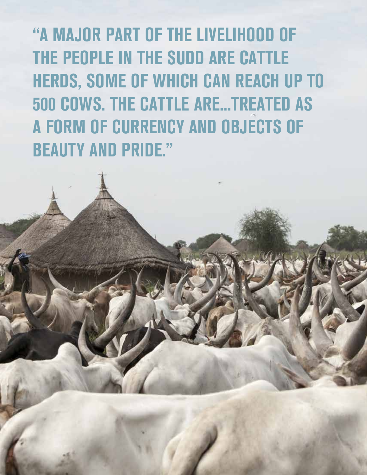"A MAJOR PART OF THE LIVELIHOOD OF THE PEOPLE IN THE SUDD ARE CATTLE HERDS, SOME OF WHICH CAN REACH UP TO 500 COWS. THE CATTLE ARE...TREATED AS A FORM OF CURRENCY AND OBJECTS OF BEAUTY AND PRIDE."

 $14$  The Economic, Cultural and Ecosystem Values of the Sudan Sudan Sudan Sudan Sudan Sudan Sudan Sudan Sudan Sudan Sudan Sudan Sudan Sudan Sudan Sudan Sudan Sudan Sudan Sudan Sudan Sudan Sudan Sudan Sudan Sudan Sudan Sud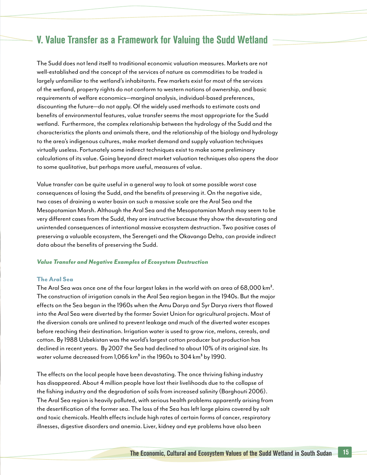### V. Value Transfer as a Framework for Valuing the Sudd Wetland

The Sudd does not lend itself to traditional economic valuation measures. Markets are not well-established and the concept of the services of nature as commodities to be traded is largely unfamiliar to the wetland's inhabitants. Few markets exist for most of the services of the wetland, property rights do not conform to western notions of ownership, and basic requirements of welfare economics—marginal analysis, individual-based preferences, discounting the future—do not apply. Of the widely used methods to estimate costs and benefits of environmental features, value transfer seems the most appropriate for the Sudd wetland. Furthermore, the complex relationship between the hydrology of the Sudd and the characteristics the plants and animals there, and the relationship of the biology and hydrology to the area's indigenous cultures, make market demand and supply valuation techniques virtually useless. Fortunately some indirect techniques exist to make some preliminary calculations of its value. Going beyond direct market valuation techniques also opens the door to some qualitative, but perhaps more useful, measures of value.

Value transfer can be quite useful in a general way to look at some possible worst case consequences of losing the Sudd, and the benefits of preserving it. On the negative side, two cases of draining a water basin on such a massive scale are the Aral Sea and the Mesopotamian Marsh. Although the Aral Sea and the Mesopotamian Marsh may seem to be very different cases from the Sudd, they are instructive because they show the devastating and unintended consequences of intentional massive ecosystem destruction. Two positive cases of preserving a valuable ecosystem, the Serengeti and the Okavango Delta, can provide indirect data about the benefits of preserving the Sudd.

#### *Value Transfer and Negative Examples of Ecosystem Destruction*

#### The Aral Sea

The Aral Sea was once one of the four largest lakes in the world with an area of 68,000 km². The construction of irrigation canals in the Aral Sea region began in the 1940s. But the major effects on the Sea began in the 1960s when the Amu Darya and Syr Darya rivers that flowed into the Aral Sea were diverted by the former Soviet Union for agricultural projects. Most of the diversion canals are unlined to prevent leakage and much of the diverted water escapes before reaching their destination. Irrigation water is used to grow rice, melons, cereals, and cotton. By 1988 Uzbekistan was the world's largest cotton producer but production has declined in recent years. By 2007 the Sea had declined to about 10% of its original size. Its water volume decreased from 1,066 km<sup>3</sup> in the 1960s to 304 km<sup>3</sup> by 1990.

The effects on the local people have been devastating. The once thriving fishing industry has disappeared. About 4 million people have lost their livelihoods due to the collapse of the fishing industry and the degradation of soils from increased salinity (Barghouti 2006). The Aral Sea region is heavily polluted, with serious health problems apparently arising from the desertification of the former sea. The loss of the Sea has left large plains covered by salt and toxic chemicals. Health effects include high rates of certain forms of cancer, respiratory illnesses, digestive disorders and anemia. Liver, kidney and eye problems have also been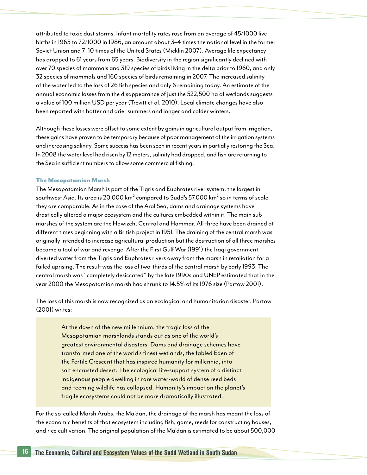attributed to toxic dust storms. Infant mortality rates rose from an average of 45/1000 live births in 1965 to 72/1000 in 1986, an amount about 3–4 times the national level in the former Soviet Union and 7–10 times of the United States (Micklin 2007). Average life expectancy has dropped to 61 years from 65 years. Biodiversity in the region significantly declined with over 70 species of mammals and 319 species of birds living in the delta prior to 1960, and only 32 species of mammals and 160 species of birds remaining in 2007. The increased salinity of the water led to the loss of 26 fish species and only 6 remaining today. An estimate of the annual economic losses from the disappearance of just the 522,500 ha of wetlands suggests a value of 100 million USD per year (Trevitt et al. 2010). Local climate changes have also been reported with hotter and drier summers and longer and colder winters.

Although these losses were offset to some extent by gains in agricultural output from irrigation, these gains have proven to be temporary because of poor management of the irrigation systems and increasing salinity. Some success has been seen in recent years in partially restoring the Sea. In 2008 the water level had risen by 12 meters, salinity had dropped, and fish are returning to the Sea in sufficient numbers to allow some commercial fishing.

#### The Mesopotamian Marsh

The Mesopotamian Marsh is part of the Tigris and Euphrates river system, the largest in southwest Asia. Its area is 20,000 km<sup>2</sup> compared to Sudd's 57,000 km<sup>2</sup> so in terms of scale they are comparable. As in the case of the Aral Sea, dams and drainage systems have drastically altered a major ecosystem and the cultures embedded within it. The main submarshes of the system are the Hawizeh, Central and Hammar. All three have been drained at different times beginning with a British project in 1951. The draining of the central marsh was originally intended to increase agricultural production but the destruction of all three marshes became a tool of war and revenge. After the First Gulf War (1991) the Iraqi government diverted water from the Tigris and Euphrates rivers away from the marsh in retaliation for a failed uprising. The result was the loss of two-thirds of the central marsh by early 1993. The central marsh was "completely desiccated" by the late 1990s and UNEP estimated that in the year 2000 the Mesopotamian marsh had shrunk to 14.5% of its 1976 size (Partow 2001).

The loss of this marsh is now recognized as an ecological and humanitarian disaster. Partow (2001) writes:

> At the dawn of the new millennium, the tragic loss of the Mesopotamian marshlands stands out as one of the world's greatest environmental disasters. Dams and drainage schemes have transformed one of the world's finest wetlands, the fabled Eden of the Fertile Crescent that has inspired humanity for millennia, into salt encrusted desert. The ecological life-support system of a distinct indigenous people dwelling in rare water-world of dense reed beds and teeming wildlife has collapsed. Humanity's impact on the planet's fragile ecosystems could not be more dramatically illustrated.

For the so-called Marsh Arabs, the Ma'dan, the drainage of the marsh has meant the loss of the economic benefits of that ecosystem including fish, game, reeds for constructing houses, and rice cultivation. The original population of the Ma'dan is estimated to be about 500,000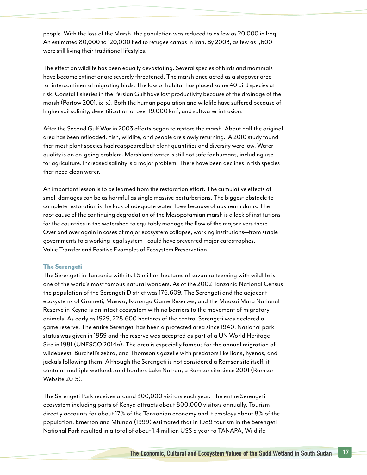people. With the loss of the Marsh, the population was reduced to as few as 20,000 in Iraq. An estimated 80,000 to 120,000 fled to refugee camps in Iran. By 2003, as few as 1,600 were still living their traditional lifestyles.

The effect on wildlife has been equally devastating. Several species of birds and mammals have become extinct or are severely threatened. The marsh once acted as a stopover area for intercontinental migrating birds. The loss of habitat has placed some 40 bird species at risk. Coastal fisheries in the Persian Gulf have lost productivity because of the drainage of the marsh (Partow 2001, ix–x). Both the human population and wildlife have suffered because of higher soil salinity, desertification of over 19,000 km<sup>2</sup>, and saltwater intrusion.

After the Second Gulf War in 2003 efforts began to restore the marsh. About half the original area has been reflooded. Fish, wildlife, and people are slowly returning. A 2010 study found that most plant species had reappeared but plant quantities and diversity were low. Water quality is an on-going problem. Marshland water is still not safe for humans, including use for agriculture. Increased salinity is a major problem. There have been declines in fish species that need clean water.

An important lesson is to be learned from the restoration effort. The cumulative effects of small damages can be as harmful as single massive perturbations. The biggest obstacle to complete restoration is the lack of adequate water flows because of upstream dams. The root cause of the continuing degradation of the Mesopotamian marsh is a lack of institutions for the countries in the watershed to equitably manage the flow of the major rivers there. Over and over again in cases of major ecosystem collapse, working institutions—from stable governments to a working legal system—could have prevented major catastrophes. Value Transfer and Positive Examples of Ecosystem Preservation

#### The Serengeti

The Serengeti in Tanzania with its 1.5 million hectares of savanna teeming with wildlife is one of the world's most famous natural wonders. As of the 2002 Tanzania National Census the population of the Serengeti District was 176,609. The Serengeti and the adjacent ecosystems of Grumeti, Maswa, Ikoronga Game Reserves, and the Maasai Mara National Reserve in Keyna is an intact ecosystem with no barriers to the movement of migratory animals. As early as 1929, 228,600 hectares of the central Serengeti was declared a game reserve. The entire Serengeti has been a protected area since 1940. National park status was given in 1959 and the reserve was accepted as part of a UN World Heritage Site in 1981 (UNESCO 2014a). The area is especially famous for the annual migration of wildebeest, Burchell's zebra, and Thomson's gazelle with predators like lions, hyenas, and jackals following them. Although the Serengeti is not considered a Ramsar site itself, it contains multiple wetlands and borders Lake Natron, a Ramsar site since 2001 (Ramsar Website 2015).

The Serengeti Park receives around 300,000 visitors each year. The entire Serengeti ecosystem including parts of Kenya attracts about 800,000 visitors annually. Tourism directly accounts for about 17% of the Tanzanian economy and it employs about 8% of the population. Emerton and Mfunda (1999) estimated that in 1989 tourism in the Serengeti National Park resulted in a total of about 1.4 million US\$ a year to TANAPA, Wildlife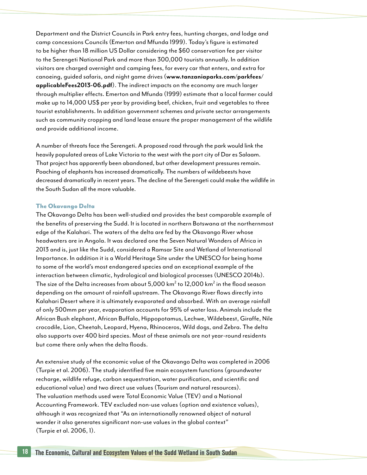Department and the District Councils in Park entry fees, hunting charges, and lodge and camp concessions Councils (Emerton and Mfunda 1999). Today's figure is estimated to be higher than 18 million US Dollar considering the \$60 conservation fee per visitor to the Serengeti National Park and more than 300,000 tourists annually. In addition visitors are charged overnight and camping fees, for every car that enters, and extra for canoeing, guided safaris, and night game drives (**www.tanzaniaparks.com/parkfees/ applicableFees2013-06.pdf**). The indirect impacts on the economy are much larger through multiplier effects. Emerton and Mfunda (1999) estimate that a local farmer could make up to 14,000 US\$ per year by providing beef, chicken, fruit and vegetables to three tourist establishments. In addition government schemes and private sector arrangements such as community cropping and land lease ensure the proper management of the wildlife and provide additional income.

A number of threats face the Serengeti. A proposed road through the park would link the heavily populated areas of Lake Victoria to the west with the port city of Dar es Salaam. That project has apparently been abandoned, but other development pressures remain. Poaching of elephants has increased dramatically. The numbers of wildebeests have decreased dramatically in recent years. The decline of the Serengeti could make the wildlife in the South Sudan all the more valuable.

#### The Okavango Delta

The Okavango Delta has been well-studied and provides the best comparable example of the benefits of preserving the Sudd. It is located in northern Botswana at the northernmost edge of the Kalahari. The waters of the delta are fed by the Okavango River whose headwaters are in Angola. It was declared one the Seven Natural Wonders of Africa in 2013 and is, just like the Sudd, considered a Ramsar Site and Wetland of International Importance. In addition it is a World Heritage Site under the UNESCO for being home to some of the world's most endangered species and an exceptional example of the interaction between climatic, hydrological and biological processes (UNESCO 2014b). The size of the Delta increases from about 5,000 km $^2$  to 12,000 km $^2$  in the flood season depending on the amount of rainfall upstream. The Okavango River flows directly into Kalahari Desert where it is ultimately evaporated and absorbed. With an average rainfall of only 500mm per year, evaporation accounts for 95% of water loss. Animals include the African Bush elephant, African Buffalo, Hippopotamus, Lechwe, Wildebeest, Giraffe, Nile crocodile, Lion, Cheetah, Leopard, Hyena, Rhinoceros, Wild dogs, and Zebra. The delta also supports over 400 bird species. Most of these animals are not year-round residents but come there only when the delta floods.

An extensive study of the economic value of the Okavango Delta was completed in 2006 (Turpie et al. 2006). The study identified five main ecosystem functions (groundwater recharge, wildlife refuge, carbon sequestration, water purification, and scientific and educational value) and two direct use values (Tourism and natural resources). The valuation methods used were Total Economic Value (TEV) and a National Accounting Framework. TEV excluded non-use values (option and existence values), although it was recognized that "As an internationally renowned object of natural wonder it also generates significant non-use values in the global context" (Turpie et al. 2006, 1).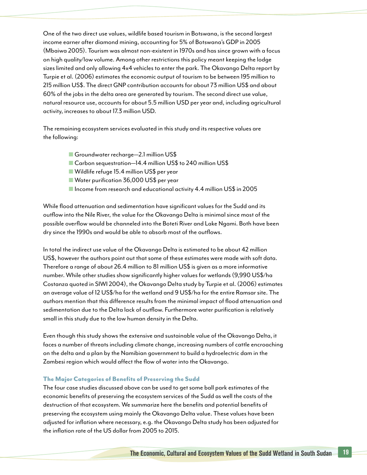One of the two direct use values, wildlife based tourism in Botswana, is the second largest income earner after diamond mining, accounting for 5% of Botswana's GDP in 2005 (Mbaiwa 2005). Tourism was almost non-existent in 1970s and has since grown with a focus on high quality/low volume. Among other restrictions this policy meant keeping the lodge sizes limited and only allowing 4x4 vehicles to enter the park. The Okavango Delta report by Turpie et al. (2006) estimates the economic output of tourism to be between 195 million to 215 million US\$. The direct GNP contribution accounts for about 73 million US\$ and about 60% of the jobs in the delta area are generated by tourism. The second direct use value, natural resource use, accounts for about 5.5 million USD per year and, including agricultural activity, increases to about 17.3 million USD.

The remaining ecosystem services evaluated in this study and its respective values are the following:

- Groundwater recharge—2.1 million US\$
- Carbon sequestration—14.4 million US\$ to 240 million US\$
- Wildlife refuge 15.4 million US\$ per year
- Water purification 36,000 US\$ per year
- Income from research and educational activity 4.4 million US\$ in 2005

While flood attenuation and sedimentation have significant values for the Sudd and its outflow into the Nile River, the value for the Okavango Delta is minimal since most of the possible overflow would be channeled into the Boteti River and Lake Ngami. Both have been dry since the 1990s and would be able to absorb most of the outflows.

In total the indirect use value of the Okavango Delta is estimated to be about 42 million US\$, however the authors point out that some of these estimates were made with soft data. Therefore a range of about 26.4 million to 81 million US\$ is given as a more informative number. While other studies show significantly higher values for wetlands (9,990 US\$/ha Costanza quoted in SIWI 2004), the Okavango Delta study by Turpie et al. (2006) estimates an average value of 12 US\$/ha for the wetland and 9 US\$/ha for the entire Ramsar site. The authors mention that this difference results from the minimal impact of flood attenuation and sedimentation due to the Delta lack of outflow. Furthermore water purification is relatively small in this study due to the low human density in the Delta.

Even though this study shows the extensive and sustainable value of the Okavango Delta, it faces a number of threats including climate change, increasing numbers of cattle encroaching on the delta and a plan by the Namibian government to build a hydroelectric dam in the Zambesi region which would affect the flow of water into the Okavango.

#### The Major Categories of Benefits of Preserving the Sudd

The four case studies discussed above can be used to get some ball park estimates of the economic benefits of preserving the ecosystem services of the Sudd as well the costs of the destruction of that ecosystem. We summarize here the benefits and potential benefits of preserving the ecosystem using mainly the Okavango Delta value. These values have been adjusted for inflation where necessary, e.g. the Okavango Delta study has been adjusted for the inflation rate of the US dollar from 2005 to 2015.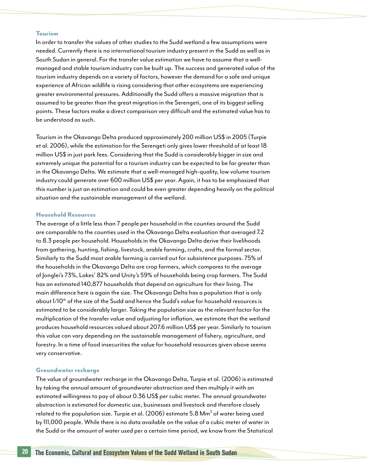#### Tourism

In order to transfer the values of other studies to the Sudd wetland a few assumptions were needed. Currently there is no international tourism industry present in the Sudd as well as in South Sudan in general. For the transfer value estimation we have to assume that a wellmanaged and stable tourism industry can be built up. The success and generated value of the tourism industry depends on a variety of factors, however the demand for a safe and unique experience of African wildlife is rising considering that other ecosystems are experiencing greater environmental pressures. Additionally the Sudd offers a massive migration that is assumed to be greater than the great migration in the Serengeti, one of its biggest selling points. These factors make a direct comparison very difficult and the estimated value has to be understood as such.

Tourism in the Okavango Delta produced approximately 200 million US\$ in 2005 (Turpie et al. 2006), while the estimation for the Serengeti only gives lower threshold of at least 18 million US\$ in just park fees. Considering that the Sudd is considerably bigger in size and extremely unique the potential for a tourism industry can be expected to be far greater than in the Okavango Delta. We estimate that a well-managed high-quality, low volume tourism industry could generate over 600 million US\$ per year. Again, it has to be emphasized that this number is just an estimation and could be even greater depending heavily on the political situation and the sustainable management of the wetland.

#### Household Resources

The average of a little less than 7 people per household in the counties around the Sudd are comparable to the counties used in the Okavango Delta evaluation that averaged 7.2 to 8.3 people per household. Households in the Okavango Delta derive their livelihoods from gathering, hunting, fishing, livestock, arable farming, crafts, and the formal sector. Similarly to the Sudd most arable farming is carried out for subsistence purposes. 75% of the households in the Okavango Delta are crop farmers, which compares to the average of Jonglei's 73%, Lakes' 82% and Unity's 59% of households being crop farmers. The Sudd has an estimated 140,877 households that depend on agriculture for their living. The main difference here is again the size. The Okavango Delta has a population that is only about 1/10<sup>th</sup> of the size of the Sudd and hence the Sudd's value for household resources is estimated to be considerably larger. Taking the population size as the relevant factor for the multiplication of the transfer value and adjusting for inflation, we estimate that the wetland produces household resources valued about 207.6 million US\$ per year. Similarly to tourism this value can vary depending on the sustainable management of fishery, agriculture, and forestry. In a time of food insecurities the value for household resources given above seems very conservative.

#### Groundwater recharge

The value of groundwater recharge in the Okavango Delta, Turpie et al. (2006) is estimated by taking the annual amount of groundwater abstraction and then multiply it with an estimated willingness to pay of about 0.36 US\$ per cubic meter. The annual groundwater abstraction is estimated for domestic use, businesses and livestock and therefore closely related to the population size. Turpie et al. (2006) estimate 5.8 Mm $^{\rm 3}$  of water being used by 111,000 people. While there is no data available on the value of a cubic meter of water in the Sudd or the amount of water used per a certain time period, we know from the Statistical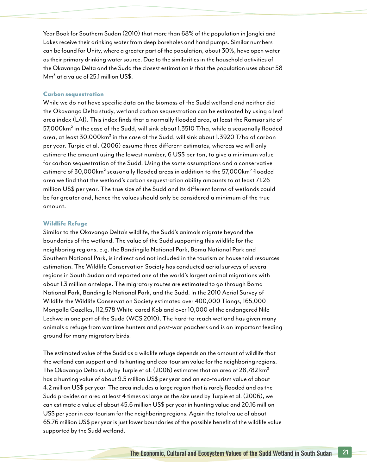Year Book for Southern Sudan (2010) that more than 68% of the population in Jonglei and Lakes receive their drinking water from deep boreholes and hand pumps. Similar numbers can be found for Unity, where a greater part of the population, about 30%, have open water as their primary drinking water source. Due to the similarities in the household activities of the Okavango Delta and the Sudd the closest estimation is that the population uses about 58  $\text{Mm}^3$  at a value of 25.1 million US\$.

#### Carbon sequestration

While we do not have specific data on the biomass of the Sudd wetland and neither did the Okavango Delta study, wetland carbon sequestration can be estimated by using a leaf area index (LAI). This index finds that a normally flooded area, at least the Ramsar site of 57,000km² in the case of the Sudd, will sink about 1.3510 T/ha, while a seasonally flooded area, at least 30,000km² in the case of the Sudd, will sink about 1.3920 T/ha of carbon per year. Turpie et al. (2006) assume three different estimates, whereas we will only estimate the amount using the lowest number, 6 US\$ per ton, to give a minimum value for carbon sequestration of the Sudd. Using the same assumptions and a conservative estimate of 30,000km $^{\sf 2}$  seasonally flooded areas in addition to the 57,000km $^{\sf 2}$  flooded area we find that the wetland's carbon sequestration ability amounts to at least 71.26 million US\$ per year. The true size of the Sudd and its different forms of wetlands could be far greater and, hence the values should only be considered a minimum of the true amount.

#### Wildlife Refuge

Similar to the Okavango Delta's wildlife, the Sudd's animals migrate beyond the boundaries of the wetland. The value of the Sudd supporting this wildlife for the neighboring regions, e.g. the Bandingilo National Park, Boma National Park and Southern National Park, is indirect and not included in the tourism or household resources estimation. The Wildlife Conservation Society has conducted aerial surveys of several regions in South Sudan and reported one of the world's largest animal migrations with about 1.3 million antelope. The migratory routes are estimated to go through Boma National Park, Bandingilo National Park, and the Sudd. In the 2010 Aerial Survey of Wildlife the Wildlife Conservation Society estimated over 400,000 Tiangs, 165,000 Mongolla Gazelles, 112,578 White-eared Kob and over 10,000 of the endangered Nile Lechwe in one part of the Sudd (WCS 2010). The hard-to-reach wetland has given many animals a refuge from wartime hunters and post-war poachers and is an important feeding ground for many migratory birds.

The estimated value of the Sudd as a wildlife refuge depends on the amount of wildlife that the wetland can support and its hunting and eco-tourism value for the neighboring regions. The Okavango Delta study by Turpie et al. (2006) estimates that an area of 28,782 km² has a hunting value of about 9.5 million US\$ per year and an eco-tourism value of about 4.2 million US\$ per year. The area includes a large region that is rarely flooded and as the Sudd provides an area at least 4 times as large as the size used by Turpie et al. (2006), we can estimate a value of about 45.6 million US\$ per year in hunting value and 20.16 million US\$ per year in eco-tourism for the neighboring regions. Again the total value of about 65.76 million US\$ per year is just lower boundaries of the possible benefit of the wildlife value supported by the Sudd wetland.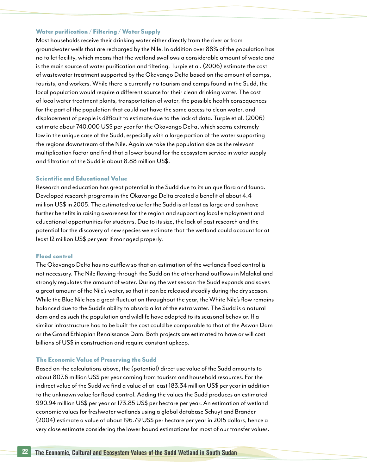#### Water purification / Filtering / Water Supply

Most households receive their drinking water either directly from the river or from groundwater wells that are recharged by the Nile. In addition over 88% of the population has no toilet facility, which means that the wetland swallows a considerable amount of waste and is the main source of water purification and filtering. Turpie et al. (2006) estimate the cost of wastewater treatment supported by the Okavango Delta based on the amount of camps, tourists, and workers. While there is currently no tourism and camps found in the Sudd, the local population would require a different source for their clean drinking water. The cost of local water treatment plants, transportation of water, the possible health consequences for the part of the population that could not have the same access to clean water, and displacement of people is difficult to estimate due to the lack of data. Turpie et al. (2006) estimate about 740,000 US\$ per year for the Okavango Delta, which seems extremely low in the unique case of the Sudd, especially with a large portion of the water supporting the regions downstream of the Nile. Again we take the population size as the relevant multiplication factor and find that a lower bound for the ecosystem service in water supply and filtration of the Sudd is about 8.88 million US\$.

#### Scientific and Educational Value

Research and education has great potential in the Sudd due to its unique flora and fauna. Developed research programs in the Okavango Delta created a benefit of about 4.4 million US\$ in 2005. The estimated value for the Sudd is at least as large and can have further benefits in raising awareness for the region and supporting local employment and educational opportunities for students. Due to its size, the lack of past research and the potential for the discovery of new species we estimate that the wetland could account for at least 12 million US\$ per year if managed properly.

#### Flood control

The Okavango Delta has no outflow so that an estimation of the wetlands flood control is not necessary. The Nile flowing through the Sudd on the other hand outflows in Malakal and strongly regulates the amount of water. During the wet season the Sudd expands and saves a great amount of the Nile's water, so that it can be released steadily during the dry season. While the Blue Nile has a great fluctuation throughout the year, the White Nile's flow remains balanced due to the Sudd's ability to absorb a lot of the extra water. The Sudd is a natural dam and as such the population and wildlife have adapted to its seasonal behavior. If a similar infrastructure had to be built the cost could be comparable to that of the Aswan Dam or the Grand Ethiopian Renaissance Dam. Both projects are estimated to have or will cost billions of US\$ in construction and require constant upkeep.

#### The Economic Value of Preserving the Sudd

Based on the calculations above, the (potential) direct use value of the Sudd amounts to about 807.6 million US\$ per year coming from tourism and household resources. For the indirect value of the Sudd we find a value of at least 183.34 million US\$ per year in addition to the unknown value for flood control. Adding the values the Sudd produces an estimated 990.94 million US\$ per year or 173.85 US\$ per hectare per year. An estimation of wetland economic values for freshwater wetlands using a global database Schuyt and Brander (2004) estimate a value of about 196.79 US\$ per hectare per year in 2015 dollars, hence a very close estimate considering the lower bound estimations for most of our transfer values.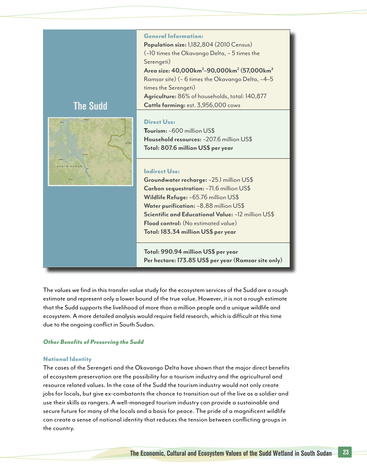

The values we find in this transfer value study for the ecosystem services of the Sudd are a rough estimate and represent only a lower bound of the true value. However, it is not a rough estimate that the Sudd supports the livelihood of more than a million people and a unique wildlife and ecosystem. A more detailed analysis would require field research, which is difficult at this time due to the ongoing conflict in South Sudan.

#### *Other Benefits of Preserving the Sudd*

#### National Identity

The cases of the Serengeti and the Okavango Delta have shown that the major direct benefits of ecosystem preservation are the possibility for a tourism industry and the agricultural and resource related values. In the case of the Sudd the tourism industry would not only create jobs for locals, but give ex-combatants the chance to transition out of the live as a soldier and use their skills as rangers. A well-managed tourism industry can provide a sustainable and secure future for many of the locals and a basis for peace. The pride of a magnificent wildlife can create a sense of national identity that reduces the tension between conflicting groups in the country.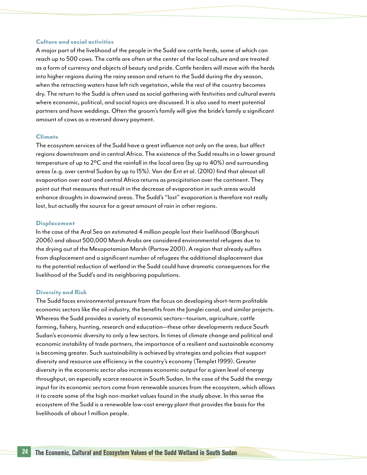#### Culture and social activities

A major part of the livelihood of the people in the Sudd are cattle herds, some of which can reach up to 500 cows. The cattle are often at the center of the local culture and are treated as a form of currency and objects of beauty and pride. Cattle herders will move with the herds into higher regions during the rainy season and return to the Sudd during the dry season, when the retracting waters have left rich vegetation, while the rest of the country becomes dry. The return to the Sudd is often used as social gathering with festivities and cultural events where economic, political, and social topics are discussed. It is also used to meet potential partners and have weddings. Often the groom's family will give the bride's family a significant amount of cows as a reversed dowry payment.

#### Climate

The ecosystem services of the Sudd have a great influence not only on the area, but affect regions downstream and in central Africa. The existence of the Sudd results in a lower ground temperature of up to 2ºC and the rainfall in the local area (by up to 40%) and surrounding areas (e.g. over central Sudan by up to 15%). Van der Ent et al. (2010) find that almost all evaporation over east and central Africa returns as precipitation over the continent. They point out that measures that result in the decrease of evaporation in such areas would enhance droughts in downwind areas. The Sudd's "lost" evaporation is therefore not really lost, but actually the source for a great amount of rain in other regions.

#### **Displacement**

In the case of the Aral Sea an estimated 4 million people lost their livelihood (Barghouti 2006) and about 500,000 Marsh Arabs are considered environmental refugees due to the drying out of the Mesopotamian Marsh (Partow 2001). A region that already suffers from displacement and a significant number of refugees the additional displacement due to the potential reduction of wetland in the Sudd could have dramatic consequences for the livelihood of the Sudd's and its neighboring populations.

#### Diversity and Risk

The Sudd faces environmental pressure from the focus on developing short-term profitable economic sectors like the oil industry, the benefits from the Jonglei canal, and similar projects. Whereas the Sudd provides a variety of economic sectors—tourism, agriculture, cattle farming, fishery, hunting, research and education—these other developments reduce South Sudan's economic diversity to only a few sectors. In times of climate change and political and economic instability of trade partners, the importance of a resilient and sustainable economy is becoming greater. Such sustainability is achieved by strategies and policies that support diversity and resource use efficiency in the country's economy (Templet 1999). Greater diversity in the economic sector also increases economic output for a given level of energy throughput, an especially scarce resource in South Sudan. In the case of the Sudd the energy input for its economic sectors come from renewable sources from the ecosystem, which allows it to create some of the high non-market values found in the study above. In this sense the ecosystem of the Sudd is a renewable low-cost energy plant that provides the basis for the livelihoods of about 1 million people.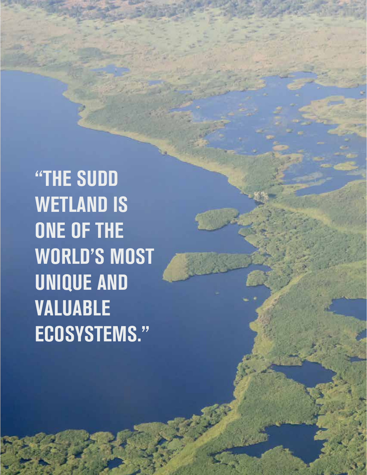"THE SUDD WETLAND IS ONE OF THE WORLD'S MOST UNIQUE AND VALUABLE ECOSYSTEMS."

The Economic and Economic Sudan 25 and Economic Sudan 25 and 25 and 25 and 25 and 35 and 35 and 35 and 35 and 35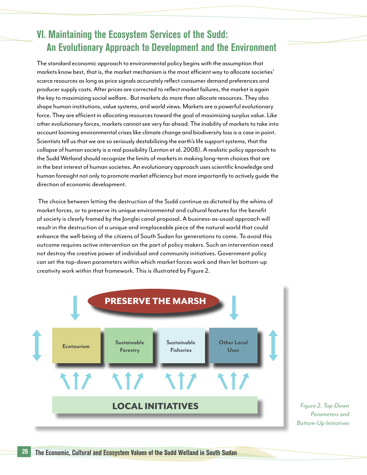### VI. Maintaining the Ecosystem Services of the Sudd: An Evolutionary Approach to Development and the Environment

The standard economic approach to environmental policy begins with the assumption that markets know best, that is, the market mechanism is the most efficient way to allocate societies' scarce resources as long as price signals accurately reflect consumer demand preferences and producer supply costs. After prices are corrected to reflect market failures, the market is again the key to maximizing social welfare. But markets do more than allocate resources. They also shape human institutions, value systems, and world views. Markets are a powerful evolutionary force. They are efficient in allocating resources toward the goal of maximizing surplus value. Like other evolutionary forces, markets cannot see very far ahead. The inability of markets to take into account looming environmental crises like climate change and biodiversity loss is a case in point. Scientists tell us that we are so seriously destabilizing the earth's life support systems, that the collapse of human society is a real possibility (Lenton et al. 2008). A realistic policy approach to the Sudd Wetland should recognize the limits of markets in making long-term choices that are in the best interest of human societies. An evolutionary approach uses scientific knowledge and human foresight not only to promote market efficiency but more importantly to actively guide the direction of economic development.

 The choice between letting the destruction of the Sudd continue as dictated by the whims of market forces, or to preserve its unique environmental and cultural features for the benefit of society is clearly framed by the Jonglei canal proposal. A business-as-usual approach will result in the destruction of a unique and irreplaceable piece of the natural world that could enhance the well-being of the citizens of South Sudan for generations to come. To avoid this outcome requires active intervention on the part of policy makers. Such an intervention need not destroy the creative power of individual and community initiatives. Government policy can set the top-down parameters within which market forces work and then let bottom-up creativity work within that framework. This is illustrated by Figure 2.



*Figure 2. Top-Down Parameters and Bottom-Up Initiatives*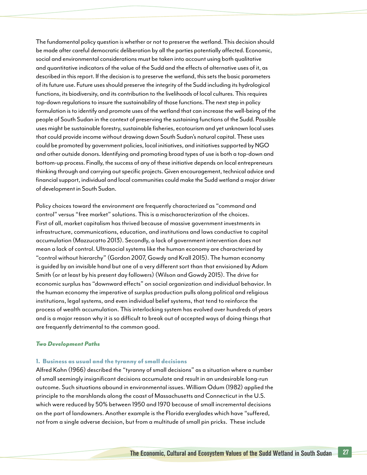The fundamental policy question is whether or not to preserve the wetland. This decision should be made after careful democratic deliberation by all the parties potentially affected. Economic, social and environmental considerations must be taken into account using both qualitative and quantitative indicators of the value of the Sudd and the effects of alternative uses of it, as described in this report. If the decision is to preserve the wetland, this sets the basic parameters of its future use. Future uses should preserve the integrity of the Sudd including its hydrological functions, its biodiversity, and its contribution to the livelihoods of local cultures. This requires top-down regulations to insure the sustainability of those functions. The next step in policy formulation is to identify and promote uses of the wetland that can increase the well-being of the people of South Sudan in the context of preserving the sustaining functions of the Sudd. Possible uses might be sustainable forestry, sustainable fisheries, ecotourism and yet unknown local uses that could provide income without drawing down South Sudan's natural capital. These uses could be promoted by government policies, local initiatives, and initiatives supported by NGO and other outside donors. Identifying and promoting broad types of use is both a top-down and bottom-up process. Finally, the success of any of these initiative depends on local entrepreneurs thinking through and carrying out specific projects. Given encouragement, technical advice and financial support, individual and local communities could make the Sudd wetland a major driver of development in South Sudan.

Policy choices toward the environment are frequently characterized as "command and control" versus "free market" solutions. This is a mischaracterization of the choices. First of all, market capitalism has thrived because of massive government investments in infrastructure, communications, education, and institutions and laws conductive to capital accumulation (Mazzucatto 2013). Secondly, a lack of government intervention does not mean a lack of control. Ultrasocial systems like the human economy are characterized by "control without hierarchy" (Gordon 2007, Gowdy and Krall 2015). The human economy is guided by an invisible hand but one of a very different sort than that envisioned by Adam Smith (or at least by his present day followers) (Wilson and Gowdy 2015). The drive for economic surplus has "downward effects" on social organization and individual behavior. In the human economy the imperative of surplus production pulls along political and religious institutions, legal systems, and even individual belief systems, that tend to reinforce the process of wealth accumulation. This interlocking system has evolved over hundreds of years and is a major reason why it is so difficult to break out of accepted ways of doing things that are frequently detrimental to the common good.

#### *Two Development Paths*

#### 1. Business as usual and the tyranny of small decisions

Alfred Kahn (1966) described the "tyranny of small decisions" as a situation where a number of small seemingly insignificant decisions accumulate and result in an undesirable long-run outcome. Such situations abound in environmental issues. William Odum (1982) applied the principle to the marshlands along the coast of Massachusetts and Connecticut in the U.S. which were reduced by 50% between 1950 and 1970 because of small incremental decisions on the part of landowners. Another example is the Florida everglades which have "suffered, not from a single adverse decision, but from a multitude of small pin pricks. These include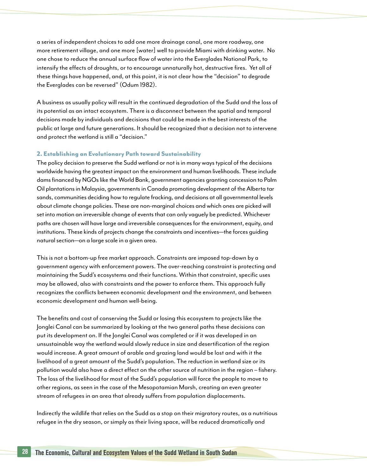a series of independent choices to add one more drainage canal, one more roadway, one more retirement village, and one more [water] well to provide Miami with drinking water. No one chose to reduce the annual surface flow of water into the Everglades National Park, to intensify the effects of droughts, or to encourage unnaturally hot, destructive fires. Yet all of these things have happened, and, at this point, it is not clear how the "decision" to degrade the Everglades can be reversed" (Odum 1982).

A business as usually policy will result in the continued degradation of the Sudd and the loss of its potential as an intact ecosystem. There is a disconnect between the spatial and temporal decisions made by individuals and decisions that could be made in the best interests of the public at large and future generations. It should be recognized that a decision not to intervene and protect the wetland is still a "decision."

#### 2. Establishing an Evolutionary Path toward Sustainability

The policy decision to preserve the Sudd wetland or not is in many ways typical of the decisions worldwide having the greatest impact on the environment and human livelihoods. These include dams financed by NGOs like the World Bank, government agencies granting concession to Palm Oil plantations in Malaysia, governments in Canada promoting development of the Alberta tar sands, communities deciding how to regulate fracking, and decisions at all governmental levels about climate change policies. These are non-marginal choices and which ones are picked will set into motion an irreversible change of events that can only vaguely be predicted. Whichever paths are chosen will have large and irreversible consequences for the environment, equity, and institutions. These kinds of projects change the constraints and incentives—the forces guiding natural section—on a large scale in a given area.

This is not a bottom-up free market approach. Constraints are imposed top-down by a government agency with enforcement powers. The over-reaching constraint is protecting and maintaining the Sudd's ecosystems and their functions. Within that constraint, specific uses may be allowed, also with constraints and the power to enforce them. This approach fully recognizes the conflicts between economic development and the environment, and between economic development and human well-being.

The benefits and cost of conserving the Sudd or losing this ecosystem to projects like the Jonglei Canal can be summarized by looking at the two general paths these decisions can put its development on. If the Jonglei Canal was completed or if it was developed in an unsustainable way the wetland would slowly reduce in size and desertification of the region would increase. A great amount of arable and grazing land would be lost and with it the livelihood of a great amount of the Sudd's population. The reduction in wetland size or its pollution would also have a direct effect on the other source of nutrition in the region – fishery. The loss of the livelihood for most of the Sudd's population will force the people to move to other regions, as seen in the case of the Mesopotamian Marsh, creating an even greater stream of refugees in an area that already suffers from population displacements.

Indirectly the wildlife that relies on the Sudd as a stop on their migratory routes, as a nutritious refugee in the dry season, or simply as their living space, will be reduced dramatically and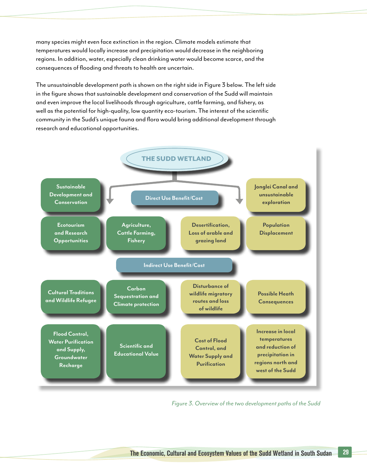many species might even face extinction in the region. Climate models estimate that temperatures would locally increase and precipitation would decrease in the neighboring regions. In addition, water, especially clean drinking water would become scarce, and the consequences of flooding and threats to health are uncertain.

The unsustainable development path is shown on the right side in Figure 3 below. The left side in the figure shows that sustainable development and conservation of the Sudd will maintain and even improve the local livelihoods through agriculture, cattle farming, and fishery, as well as the potential for high-quality, low quantity eco-tourism. The interest of the scientific community in the Sudd's unique fauna and flora would bring additional development through research and educational opportunities.



*Figure 3. Overview of the two development paths of the Sudd*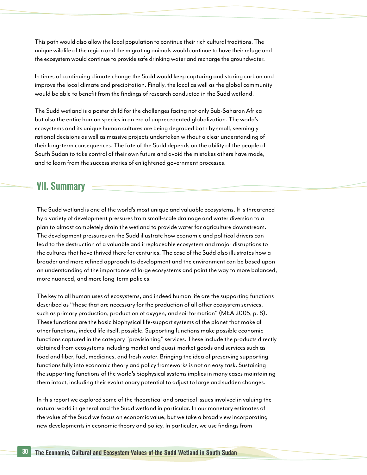This path would also allow the local population to continue their rich cultural traditions. The unique wildlife of the region and the migrating animals would continue to have their refuge and the ecosystem would continue to provide safe drinking water and recharge the groundwater.

In times of continuing climate change the Sudd would keep capturing and storing carbon and improve the local climate and precipitation. Finally, the local as well as the global community would be able to benefit from the findings of research conducted in the Sudd wetland.

The Sudd wetland is a poster child for the challenges facing not only Sub-Saharan Africa but also the entire human species in an era of unprecedented globalization. The world's ecosystems and its unique human cultures are being degraded both by small, seemingly rational decisions as well as massive projects undertaken without a clear understanding of their long-term consequences. The fate of the Sudd depends on the ability of the people of South Sudan to take control of their own future and avoid the mistakes others have made, and to learn from the success stories of enlightened government processes.

### VII. Summary

The Sudd wetland is one of the world's most unique and valuable ecosystems. It is threatened by a variety of development pressures from small-scale drainage and water diversion to a plan to almost completely drain the wetland to provide water for agriculture downstream. The development pressures on the Sudd illustrate how economic and political drivers can lead to the destruction of a valuable and irreplaceable ecosystem and major disruptions to the cultures that have thrived there for centuries. The case of the Sudd also illustrates how a broader and more refined approach to development and the environment can be based upon an understanding of the importance of large ecosystems and point the way to more balanced, more nuanced, and more long-term policies.

The key to all human uses of ecosystems, and indeed human life are the supporting functions described as "those that are necessary for the production of all other ecosystem services, such as primary production, production of oxygen, and soil formation" (MEA 2005, p. 8). These functions are the basic biophysical life-support systems of the planet that make all other functions, indeed life itself, possible. Supporting functions make possible economic functions captured in the category "provisioning" services. These include the products directly obtained from ecosystems including market and quasi-market goods and services such as food and fiber, fuel, medicines, and fresh water. Bringing the idea of preserving supporting functions fully into economic theory and policy frameworks is not an easy task. Sustaining the supporting functions of the world's biophysical systems implies in many cases maintaining them intact, including their evolutionary potential to adjust to large and sudden changes.

In this report we explored some of the theoretical and practical issues involved in valuing the natural world in general and the Sudd wetland in particular. In our monetary estimates of the value of the Sudd we focus on economic value, but we take a broad view incorporating new developments in economic theory and policy. In particular, we use findings from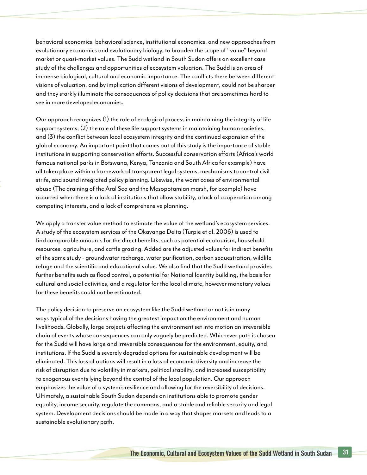behavioral economics, behavioral science, institutional economics, and new approaches from evolutionary economics and evolutionary biology, to broaden the scope of "value" beyond market or quasi-market values. The Sudd wetland in South Sudan offers an excellent case study of the challenges and opportunities of ecosystem valuation. The Sudd is an area of immense biological, cultural and economic importance. The conflicts there between different visions of valuation, and by implication different visions of development, could not be sharper and they starkly illuminate the consequences of policy decisions that are sometimes hard to see in more developed economies.

Our approach recognizes (1) the role of ecological process in maintaining the integrity of life support systems, (2) the role of these life support systems in maintaining human societies, and (3) the conflict between local ecosystem integrity and the continued expansion of the global economy. An important point that comes out of this study is the importance of stable institutions in supporting conservation efforts. Successful conservation efforts (Africa's world famous national parks in Botswana, Kenya, Tanzania and South Africa for example) have all taken place within a framework of transparent legal systems, mechanisms to control civil strife, and sound integrated policy planning. Likewise, the worst cases of environmental abuse (The draining of the Aral Sea and the Mesopotamian marsh, for example) have occurred when there is a lack of institutions that allow stability, a lack of cooperation among competing interests, and a lack of comprehensive planning.

We apply a transfer value method to estimate the value of the wetland's ecosystem services. A study of the ecosystem services of the Okavango Delta (Turpie et al. 2006) is used to find comparable amounts for the direct benefits, such as potential ecotourism, household resources, agriculture, and cattle grazing. Added are the adjusted values for indirect benefits of the same study - groundwater recharge, water purification, carbon sequestration, wildlife refuge and the scientific and educational value. We also find that the Sudd wetland provides further benefits such as flood control, a potential for National Identity building, the basis for cultural and social activities, and a regulator for the local climate, however monetary values for these benefits could not be estimated.

The policy decision to preserve an ecosystem like the Sudd wetland or not is in many ways typical of the decisions having the greatest impact on the environment and human livelihoods. Globally, large projects affecting the environment set into motion an irreversible chain of events whose consequences can only vaguely be predicted. Whichever path is chosen for the Sudd will have large and irreversible consequences for the environment, equity, and institutions. If the Sudd is severely degraded options for sustainable development will be eliminated. This loss of options will result in a loss of economic diversity and increase the risk of disruption due to volatility in markets, political stability, and increased susceptibility to exogenous events lying beyond the control of the local population. Our approach emphasizes the value of a system's resilience and allowing for the reversibility of decisions. Ultimately, a sustainable South Sudan depends on institutions able to promote gender equality, income security, regulate the commons, and a stable and reliable security and legal system. Development decisions should be made in a way that shapes markets and leads to a sustainable evolutionary path.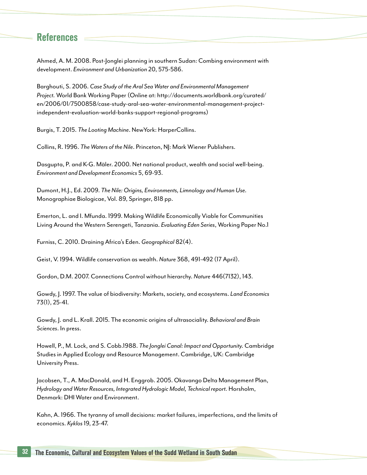### References

Ahmed, A. M. 2008. Post-Jonglei planning in southern Sudan: Combing environment with development. *Environment and Urbanization* 20, 575-586.

Barghouti, S. 2006. *Case Study of the Aral Sea Water and Environmental Management Project.* World Bank Working Paper (Online at: http://documents.worldbank.org/curated/ en/2006/01/7500858/case-study-aral-sea-water-environmental-management-projectindependent-evaluation-world-banks-support-regional-programs)

Burgis, T. 2015. *The Looting Machine*. NewYork: HarperCollins.

Collins, R. 1996. *The Waters of the Nile*. Princeton, NJ: Mark Wiener Publishers.

Dasgupta, P. and K-G. Mäler. 2000. Net national product, wealth and social well-being. *Environment and Development Economics* 5, 69-93.

Dumont, H.J., Ed. 2009. *The Nile: Origins, Environments, Limnology and Human Use.* Monographiae Biologicae, Vol. 89, Springer, 818 pp.

Emerton, L. and I. Mfunda. 1999. Making Wildlife Economically Viable for Communities Living Around the Western Serengeti, Tanzania. *Evaluating Eden Series*, Working Paper No.1

Furniss, C. 2010. Draining Africa's Eden. *Geographical* 82(4).

Geist, V. 1994. Wildlife conservation as wealth. *Nature* 368, 491-492 (17 April).

Gordon, D.M. 2007. Connections Control without hierarchy. *Nature* 446(7132), 143.

Gowdy, J. 1997. The value of biodiversity: Markets, society, and ecosystems. *Land Economics*  73(1), 25-41.

Gowdy, J. and L. Krall. 2015. The economic origins of ultrasociality. *Behavioral and Brain Sciences*. In press.

Howell, P., M. Lock, and S. Cobb.1988. *The Jonglei Canal: Impact and Opportunity.* Cambridge Studies in Applied Ecology and Resource Management. Cambridge, UK: Cambridge University Press.

Jacobsen, T., A. MacDonald, and H. Enggrob. 2005. Okavango Delta Management Plan, *Hydrology and Water Resources, Integrated Hydrologic Model, Technical report.* Horsholm, Denmark: DHI Water and Environment.

Kahn, A. 1966. The tyranny of small decisions: market failures, imperfections, and the limits of economics. *Kyklos* 19, 23-47.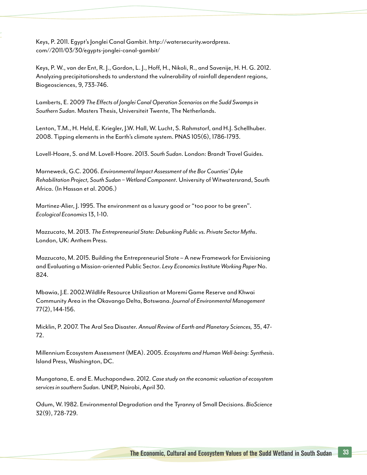Keys, P. 2011. Egypt's Jonglei Canal Gambit. http://watersecurity.wordpress. com//2011/03/30/egypts-jonglei-canal-gambit/

Keys, P. W., van der Ent, R. J., Gordon, L. J., Hoff, H., Nikoli, R., and Savenije, H. H. G. 2012. Analyzing precipitationsheds to understand the vulnerability of rainfall dependent regions, Biogeosciences, 9, 733-746.

Lamberts, E. 2009 *The Effects of Jonglei Canal Operation Scenarios on the Sudd Swamps in Southern Sudan.* Masters Thesis, Universiteit Twente, The Netherlands.

Lenton, T.M., H. Held, E. Kriegler, J.W. Hall, W. Lucht, S. Rahmstorf, and H.J. Schellhuber. 2008. Tipping elements in the Earth's climate system. PNAS 105(6), 1786-1793.

Lovell-Hoare, S. and M. Lovell-Hoare. 2013. S*outh Sudan*. London: Brandt Travel Guides.

Marneweck, G.C. 2006. *Environmental Impact Assessment of the Bor Counties' Dyke Rehabilitation Project, South Sudan – Wetland Component*. University of Witwatersrand, South Africa. (In Hassan et al. 2006.)

Martinez-Alier, J. 1995. The environment as a luxury good or "too poor to be green". *Ecological Economics* 13, 1-10.

Mazzucato, M. 2013. *The Entrepreneurial State: Debunking Public vs. Private Sector Myths*. London, UK: Anthem Press.

Mazzucato, M. 2015. Building the Entrepreneurial State – A new Framework for Envisioning and Evaluating a Mission-oriented Public Sector. *Levy Economics Institute Working Paper* No. 824.

Mbawia, J.E. 2002.Wildlife Resource Utilization at Moremi Game Reserve and Khwai Community Area in the Okavango Delta, Botswana. *Journal of Environmental Management*  77(2), 144-156.

Micklin, P. 2007. The Aral Sea Disaster. *Annual Review of Earth and Planetary Sciences,* 35, 47- 72.

Millennium Ecosystem Assessment (MEA). 2005. *Ecosystems and Human Well-being: Synthesis*. Island Press, Washington, DC.

Mungatana, E. and E. Muchapondwa. 2012. *Case study on the economic valuation of ecosystem services in southern Sudan.* UNEP, Nairobi, April 30.

Odum, W. 1982. Environmental Degradation and the Tyranny of Small Decisions. *BioScience*  32(9), 728-729.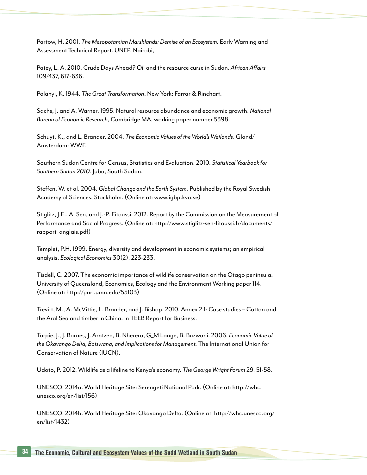Partow, H. 2001. *The Mesopotamian Marshlands: Demise of an Ecosystem.* Early Warning and Assessment Technical Report. UNEP, Nairobi,

Patey, L. A. 2010. Crude Days Ahead? Oil and the resource curse in Sudan. *African Affairs*  109/437, 617-636.

Polanyi, K. 1944. *The Great Transformation*. New York: Farrar & Rinehart.

Sachs, J. and A. Warner. 1995. Natural resource abundance and economic growth. *National Bureau of Economic Research*, Cambridge MA, working paper number 5398.

Schuyt, K., and L. Brander. 2004. *The Economic Values of the World's Wetlands*. Gland/ Amsterdam: WWF.

Southern Sudan Centre for Census, Statistics and Evaluation. 2010. *Statistical Yearbook for Southern Sudan 2010*. Juba, South Sudan.

Steffen, W. et al. 2004. *Global Change and the Earth System.* Published by the Royal Swedish Academy of Sciences, Stockholm. (Online at: www.igbp.kva.se)

Stiglitz, J.E., A. Sen, and J.-P. Fitoussi. 2012. Report by the Commission on the Measurement of Performance and Social Progress. (Online at: http://www.stiglitz-sen-fitoussi.fr/documents/ rapport\_anglais.pdf)

Templet, P.H. 1999. Energy, diversity and development in economic systems; an empirical analysis. *Ecological Economics* 30(2), 223-233.

Tisdell, C. 2007. The economic importance of wildlife conservation on the Otago peninsula. University of Queensland, Economics, Ecology and the Environment Working paper 114. (Online at: http://purl.umn.edu/55103)

Trevitt, M., A. McVittie, L. Brander, and J. Bishop. 2010. Annex 2.1: Case studies – Cotton and the Aral Sea and timber in China. In TEEB Report for Business.

Turpie, J., J. Barnes, J. Arntzen, B. Nherera, G\_M Lange, B. Buzwani. 2006. *Economic Value of the Okavango Delta, Botswana, and Implications for Management.* The International Union for Conservation of Nature (IUCN).

Udoto, P. 2012. Wildlife as a lifeline to Kenya's economy. *The George Wright Forum* 29, 51-58.

UNESCO. 2014a. World Heritage Site: Serengeti National Park. (Online at: http://whc. unesco.org/en/list/156)

UNESCO. 2014b. World Heritage Site: Okavango Delta. (Online at: http://whc.unesco.org/ en/list/1432)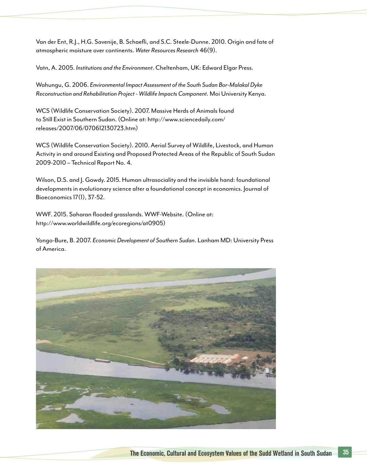Van der Ent, R.J., H.G. Savenije, B. Schaefli, and S.C. Steele-Dunne. 2010. Origin and fate of atmospheric moisture over continents. *Water Resources Research* 46(9).

Vatn, A. 2005. *Institutions and the Environment*. Cheltenham, UK: Edward Elgar Press.

Wahungu, G. 2006. *Environmental Impact Assessment of the South Sudan Bor-Malakal Dyke Reconstruction and Rehabilitation Project - Wildlife Impacts Component.* Moi University Kenya.

WCS (Wildlife Conservation Society). 2007. Massive Herds of Animals found to Still Exist in Southern Sudan. (Online at: http://www.sciencedaily.com/ releases/2007/06/070612130723.htm)

WCS (Wildlife Conservation Society). 2010. Aerial Survey of Wildlife, Livestock, and Human Activity in and around Existing and Proposed Protected Areas of the Republic of South Sudan 2009-2010 – Technical Report No. 4.

Wilson, D.S. and J. Gowdy. 2015. Human ultrasociality and the invisible hand: foundational developments in evolutionary science alter a foundational concept in economics. Journal of Bioeconomics 17(1), 37-52.

WWF. 2015. Saharan flooded grasslands. WWF-Website. (Online at: http://www.worldwildlife.org/ecoregions/at0905)

Yongo-Bure, B. 2007. *Economic Development of Southern Sudan*. Lanham MD: University Press of America.